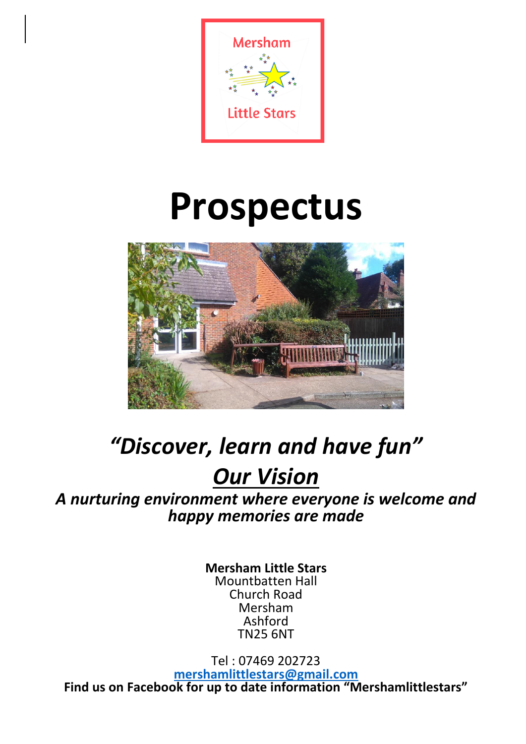

# **Prospectus**



## *"Discover, learn and have fun"*

### *Our Vision*

*A nurturing environment where everyone is welcome and happy memories are made*

> **Mersham Little Stars** Mountbatten Hall Church Road Mersham Ashford TN25 6NT

Tel : 07469 202723 **[mershamlittlestars@gmail.com](mailto:mershamlittlestars@gmail.com) Find us on Facebook for up to date information "Mershamlittlestars"**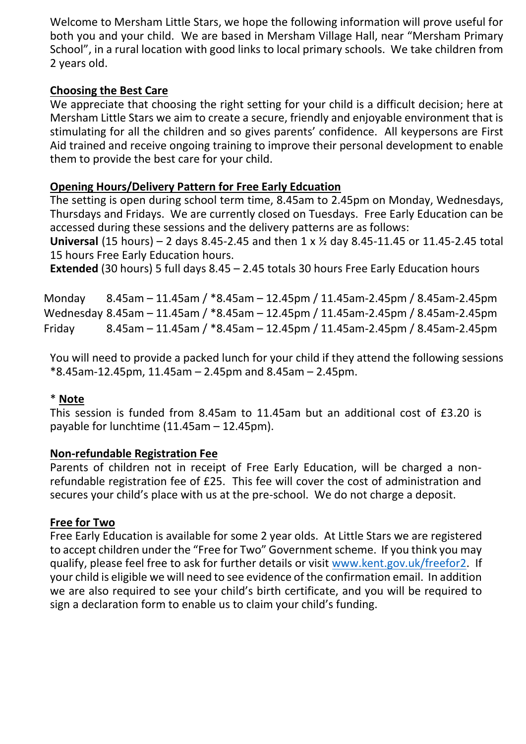Welcome to Mersham Little Stars, we hope the following information will prove useful for both you and your child. We are based in Mersham Village Hall, near "Mersham Primary School", in a rural location with good links to local primary schools. We take children from 2 years old.

#### **Choosing the Best Care**

We appreciate that choosing the right setting for your child is a difficult decision; here at Mersham Little Stars we aim to create a secure, friendly and enjoyable environment that is stimulating for all the children and so gives parents' confidence. All keypersons are First Aid trained and receive ongoing training to improve their personal development to enable them to provide the best care for your child.

#### **Opening Hours/Delivery Pattern for Free Early Edcuation**

The setting is open during school term time, 8.45am to 2.45pm on Monday, Wednesdays, Thursdays and Fridays. We are currently closed on Tuesdays. Free Early Education can be accessed during these sessions and the delivery patterns are as follows:

**Universal** (15 hours) – 2 days 8.45-2.45 and then 1 x ½ day 8.45-11.45 or 11.45-2.45 total 15 hours Free Early Education hours.

**Extended** (30 hours) 5 full days 8.45 – 2.45 totals 30 hours Free Early Education hours

Monday 8.45am – 11.45am / \*8.45am – 12.45pm / 11.45am-2.45pm / 8.45am-2.45pm Wednesday 8.45am – 11.45am / \*8.45am – 12.45pm / 11.45am-2.45pm / 8.45am-2.45pm Friday 8.45am – 11.45am / \*8.45am – 12.45pm / 11.45am-2.45pm / 8.45am-2.45pm

You will need to provide a packed lunch for your child if they attend the following sessions \*8.45am-12.45pm, 11.45am – 2.45pm and 8.45am – 2.45pm.

#### \* **Note**

This session is funded from 8.45am to 11.45am but an additional cost of £3.20 is payable for lunchtime (11.45am – 12.45pm).

#### **Non-refundable Registration Fee**

Parents of children not in receipt of Free Early Education, will be charged a nonrefundable registration fee of £25. This fee will cover the cost of administration and secures your child's place with us at the pre-school. We do not charge a deposit.

#### **Free for Two**

Free Early Education is available for some 2 year olds. At Little Stars we are registered to accept children under the "Free for Two" Government scheme. If you think you may qualify, please feel free to ask for further details or visit [www.kent.gov.uk/freefor2.](http://www.kent.gov.uk/freefor2) If your child is eligible we will need to see evidence of the confirmation email. In addition we are also required to see your child's birth certificate, and you will be required to sign a declaration form to enable us to claim your child's funding.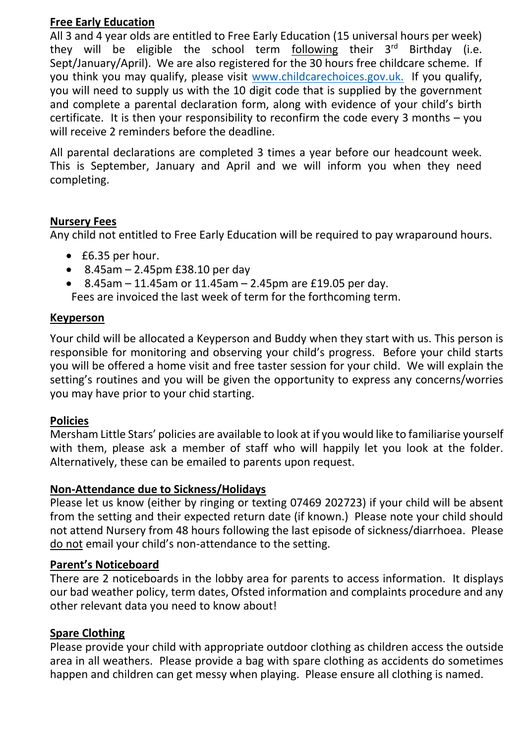#### **Free Early Education**

All 3 and 4 year olds are entitled to Free Early Education (15 universal hours per week) they will be eligible the school term following their  $3<sup>rd</sup>$  Birthday (i.e. Sept/January/April). We are also registered for the 30 hours free childcare scheme. If you think you may qualify, please visit [www.childcarechoices.gov.uk.](http://www.childcarechoices.gov.uk/) If you qualify, you will need to supply us with the 10 digit code that is supplied by the government and complete a parental declaration form, along with evidence of your child's birth certificate. It is then your responsibility to reconfirm the code every 3 months – you will receive 2 reminders before the deadline.

All parental declarations are completed 3 times a year before our headcount week. This is September, January and April and we will inform you when they need completing.

#### **Nursery Fees**

Any child not entitled to Free Early Education will be required to pay wraparound hours.

- £6.35 per hour.
- $\bullet$  8.45am 2.45pm £38.10 per day
- 8.45am 11.45am or 11.45am 2.45pm are £19.05 per day.

Fees are invoiced the last week of term for the forthcoming term.

#### **Keyperson**

Your child will be allocated a Keyperson and Buddy when they start with us. This person is responsible for monitoring and observing your child's progress. Before your child starts you will be offered a home visit and free taster session for your child. We will explain the setting's routines and you will be given the opportunity to express any concerns/worries you may have prior to your chid starting.

#### **Policies**

Mersham Little Stars' policies are available to look at if you would like to familiarise yourself with them, please ask a member of staff who will happily let you look at the folder. Alternatively, these can be emailed to parents upon request.

#### **Non-Attendance due to Sickness/Holidays**

Please let us know (either by ringing or texting 07469 202723) if your child will be absent from the setting and their expected return date (if known.) Please note your child should not attend Nursery from 48 hours following the last episode of sickness/diarrhoea. Please do not email your child's non-attendance to the setting.

#### **Parent's Noticeboard**

There are 2 noticeboards in the lobby area for parents to access information. It displays our bad weather policy, term dates, Ofsted information and complaints procedure and any other relevant data you need to know about!

#### **Spare Clothing**

Please provide your child with appropriate outdoor clothing as children access the outside area in all weathers. Please provide a bag with spare clothing as accidents do sometimes happen and children can get messy when playing. Please ensure all clothing is named.